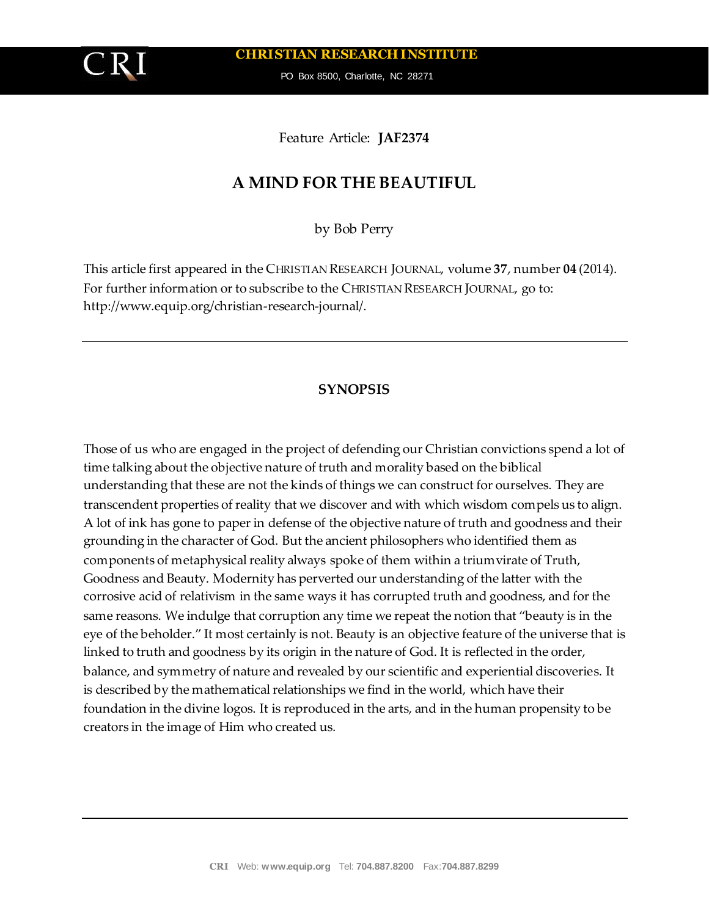**CHRISTIAN RESEARCH INSTITUTE**

PO Box 8500, Charlotte, NC 28271

Feature Article: **JAF2374**

# **A MIND FOR THE BEAUTIFUL**

by Bob Perry

This article first appeared in the CHRISTIAN RESEARCH JOURNAL, volume **37**, number **04** (2014). For further information or to subscribe to the CHRISTIAN RESEARCH JOURNAL, go to: http://www.equip.org/christian-research-journal/.

## **SYNOPSIS**

Those of us who are engaged in the project of defending our Christian convictions spend a lot of time talking about the objective nature of truth and morality based on the biblical understanding that these are not the kinds of things we can construct for ourselves. They are transcendent properties of reality that we discover and with which wisdom compels us to align. A lot of ink has gone to paper in defense of the objective nature of truth and goodness and their grounding in the character of God. But the ancient philosophers who identified them as components of metaphysical reality always spoke of them within a triumvirate of Truth, Goodness and Beauty. Modernity has perverted our understanding of the latter with the corrosive acid of relativism in the same ways it has corrupted truth and goodness, and for the same reasons. We indulge that corruption any time we repeat the notion that "beauty is in the eye of the beholder." It most certainly is not. Beauty is an objective feature of the universe that is linked to truth and goodness by its origin in the nature of God. It is reflected in the order, balance, and symmetry of nature and revealed by our scientific and experiential discoveries. It is described by the mathematical relationships we find in the world, which have their foundation in the divine logos. It is reproduced in the arts, and in the human propensity to be creators in the image of Him who created us.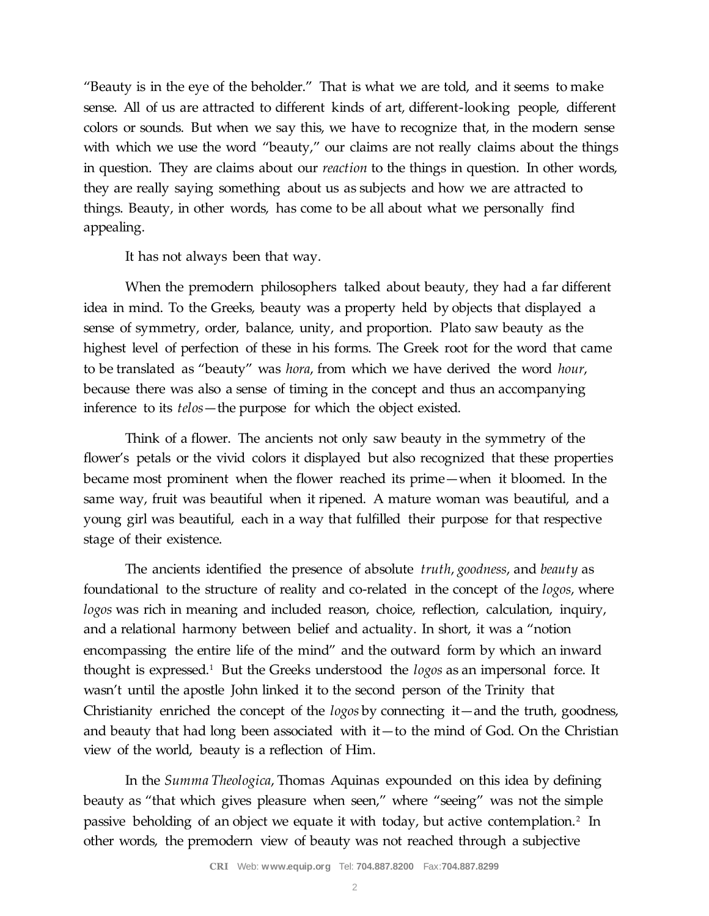"Beauty is in the eye of the beholder." That is what we are told, and it seems to make sense. All of us are attracted to different kinds of art, different-looking people, different colors or sounds. But when we say this, we have to recognize that, in the modern sense with which we use the word "beauty," our claims are not really claims about the things in question. They are claims about our *reaction* to the things in question. In other words, they are really saying something about us as subjects and how we are attracted to things. Beauty, in other words, has come to be all about what we personally find appealing.

It has not always been that way.

When the premodern philosophers talked about beauty, they had a far different idea in mind. To the Greeks, beauty was a property held by objects that displayed a sense of symmetry, order, balance, unity, and proportion. Plato saw beauty as the highest level of perfection of these in his forms. The Greek root for the word that came to be translated as "beauty" was *hora*, from which we have derived the word *hour*, because there was also a sense of timing in the concept and thus an accompanying inference to its *telos*—the purpose for which the object existed.

Think of a flower. The ancients not only saw beauty in the symmetry of the flower's petals or the vivid colors it displayed but also recognized that these properties became most prominent when the flower reached its prime—when it bloomed. In the same way, fruit was beautiful when it ripened. A mature woman was beautiful, and a young girl was beautiful, each in a way that fulfilled their purpose for that respective stage of their existence.

The ancients identified the presence of absolute *truth*, *goodness*, and *beauty* as foundational to the structure of reality and co-related in the concept of the *logos*, where *logos* was rich in meaning and included reason, choice, reflection, calculation, inquiry, and a relational harmony between belief and actuality. In short, it was a "notion encompassing the entire life of the mind" and the outward form by which an inward thought is expressed.<sup>1</sup> But the Greeks understood the *logos* as an impersonal force. It wasn't until the apostle John linked it to the second person of the Trinity that Christianity enriched the concept of the *logos* by connecting it—and the truth, goodness, and beauty that had long been associated with it—to the mind of God. On the Christian view of the world, beauty is a reflection of Him.

In the *Summa Theologica*, Thomas Aquinas expounded on this idea by defining beauty as "that which gives pleasure when seen," where "seeing" was not the simple passive beholding of an object we equate it with today, but active contemplation.<sup>2</sup> In other words, the premodern view of beauty was not reached through a subjective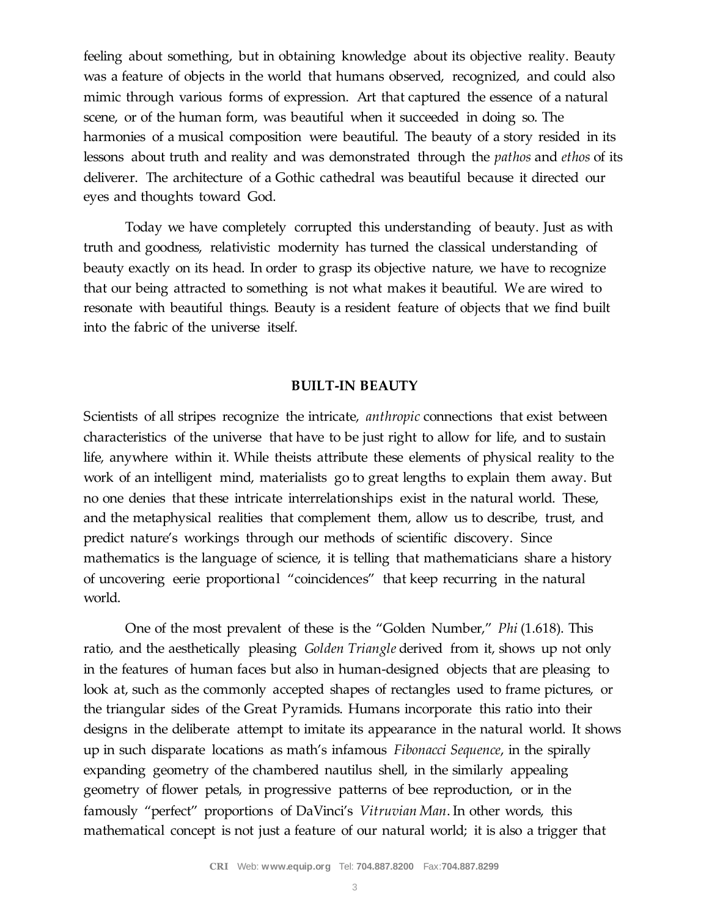feeling about something, but in obtaining knowledge about its objective reality. Beauty was a feature of objects in the world that humans observed, recognized, and could also mimic through various forms of expression. Art that captured the essence of a natural scene, or of the human form, was beautiful when it succeeded in doing so. The harmonies of a musical composition were beautiful. The beauty of a story resided in its lessons about truth and reality and was demonstrated through the *pathos* and *ethos* of its deliverer. The architecture of a Gothic cathedral was beautiful because it directed our eyes and thoughts toward God.

Today we have completely corrupted this understanding of beauty. Just as with truth and goodness, relativistic modernity has turned the classical understanding of beauty exactly on its head. In order to grasp its objective nature, we have to recognize that our being attracted to something is not what makes it beautiful. We are wired to resonate with beautiful things. Beauty is a resident feature of objects that we find built into the fabric of the universe itself.

### **BUILT-IN BEAUTY**

Scientists of all stripes recognize the intricate, *anthropic* connections that exist between characteristics of the universe that have to be just right to allow for life, and to sustain life, anywhere within it. While theists attribute these elements of physical reality to the work of an intelligent mind, materialists go to great lengths to explain them away. But no one denies that these intricate interrelationships exist in the natural world. These, and the metaphysical realities that complement them, allow us to describe, trust, and predict nature's workings through our methods of scientific discovery. Since mathematics is the language of science, it is telling that mathematicians share a history of uncovering eerie proportional "coincidences" that keep recurring in the natural world.

One of the most prevalent of these is the "Golden Number," *Phi* (1.618). This ratio, and the aesthetically pleasing *Golden Triangle* derived from it, shows up not only in the features of human faces but also in human-designed objects that are pleasing to look at, such as the commonly accepted shapes of rectangles used to frame pictures, or the triangular sides of the Great Pyramids. Humans incorporate this ratio into their designs in the deliberate attempt to imitate its appearance in the natural world. It shows up in such disparate locations as math's infamous *Fibonacci Sequence*, in the spirally expanding geometry of the chambered nautilus shell, in the similarly appealing geometry of flower petals, in progressive patterns of bee reproduction, or in the famously "perfect" proportions of DaVinci's *Vitruvian Man*. In other words, this mathematical concept is not just a feature of our natural world; it is also a trigger that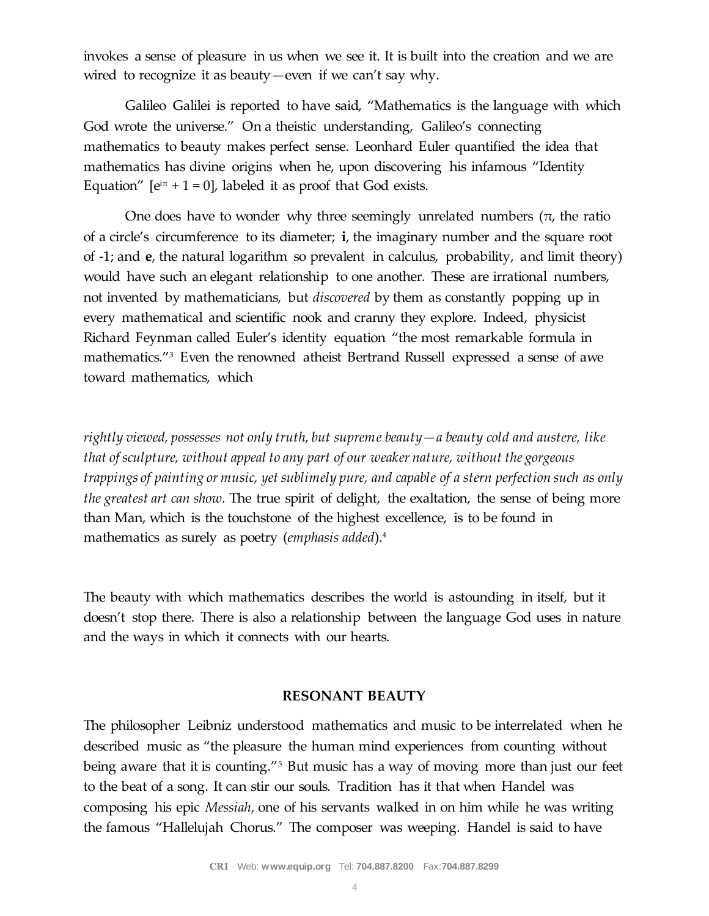invokes a sense of pleasure in us when we see it. It is built into the creation and we are wired to recognize it as beauty—even if we can't say why.

Galileo Galilei is reported to have said, "Mathematics is the language with which God wrote the universe." On a theistic understanding, Galileo's connecting mathematics to beauty makes perfect sense. Leonhard Euler quantified the idea that mathematics has divine origins when he, upon discovering his infamous "Identity Equation"  $[e^{i\pi} + 1 = 0]$ , labeled it as proof that God exists.

One does have to wonder why three seemingly unrelated numbers ( $\pi$ , the ratio of a circle's circumference to its diameter; **i**, the imaginary number and the square root of -1; and **e**, the natural logarithm so prevalent in calculus, probability, and limit theory) would have such an elegant relationship to one another. These are irrational numbers, not invented by mathematicians, but *discovered* by them as constantly popping up in every mathematical and scientific nook and cranny they explore. Indeed, physicist Richard Feynman called Euler's identity equation "the most remarkable formula in mathematics."<sup>3</sup> Even the renowned atheist Bertrand Russell expressed a sense of awe toward mathematics, which

*rightly viewed, possesses not only truth, but supreme beauty—a beauty cold and austere, like that of sculpture, without appeal to any part of our weaker nature, without the gorgeous trappings of painting or music, yet sublimely pure, and capable of a stern perfection such as only the greatest art can show.* The true spirit of delight, the exaltation, the sense of being more than Man, which is the touchstone of the highest excellence, is to be found in mathematics as surely as poetry (*emphasis added*).<sup>4</sup>

The beauty with which mathematics describes the world is astounding in itself, but it doesn't stop there. There is also a relationship between the language God uses in nature and the ways in which it connects with our hearts.

## **RESONANT BEAUTY**

The philosopher Leibniz understood mathematics and music to be interrelated when he described music as "the pleasure the human mind experiences from counting without being aware that it is counting."<sup>5</sup> But music has a way of moving more than just our feet to the beat of a song. It can stir our souls. Tradition has it that when Handel was composing his epic *Messiah*, one of his servants walked in on him while he was writing the famous "Hallelujah Chorus." The composer was weeping. Handel is said to have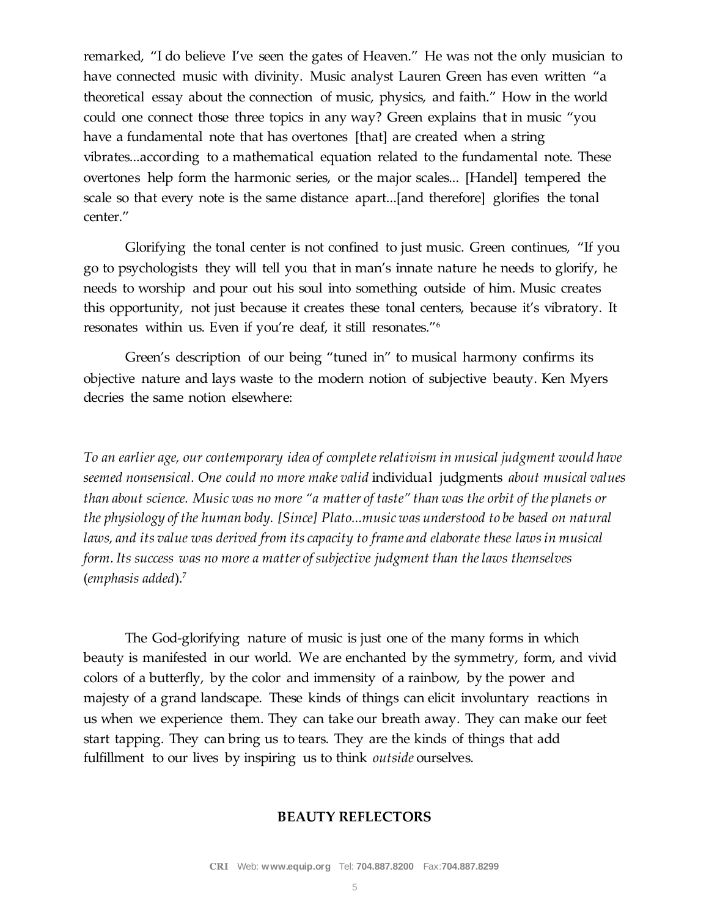remarked, "I do believe I've seen the gates of Heaven." He was not the only musician to have connected music with divinity. Music analyst Lauren Green has even written "a theoretical essay about the connection of music, physics, and faith." How in the world could one connect those three topics in any way? Green explains that in music "you have a fundamental note that has overtones [that] are created when a string vibrates...according to a mathematical equation related to the fundamental note. These overtones help form the harmonic series, or the major scales... [Handel] tempered the scale so that every note is the same distance apart...[and therefore] glorifies the tonal center."

Glorifying the tonal center is not confined to just music. Green continues, "If you go to psychologists they will tell you that in man's innate nature he needs to glorify, he needs to worship and pour out his soul into something outside of him. Music creates this opportunity, not just because it creates these tonal centers, because it's vibratory. It resonates within us. Even if you're deaf, it still resonates."<sup>6</sup>

Green's description of our being "tuned in" to musical harmony confirms its objective nature and lays waste to the modern notion of subjective beauty. Ken Myers decries the same notion elsewhere:

*To an earlier age, our contemporary idea of complete relativism in musical judgment would have seemed nonsensical. One could no more make valid* individual judgments *about musical values than about science. Music was no more "a matter of taste" than was the orbit of the planets or the physiology of the human body. [Since] Plato...music was understood to be based on natural laws, and its value was derived from its capacity to frame and elaborate these laws in musical form. Its success was no more a matter of subjective judgment than the laws themselves* (*emphasis added*).<sup>7</sup>

The God-glorifying nature of music is just one of the many forms in which beauty is manifested in our world. We are enchanted by the symmetry, form, and vivid colors of a butterfly, by the color and immensity of a rainbow, by the power and majesty of a grand landscape. These kinds of things can elicit involuntary reactions in us when we experience them. They can take our breath away. They can make our feet start tapping. They can bring us to tears. They are the kinds of things that add fulfillment to our lives by inspiring us to think *outside* ourselves.

## **BEAUTY REFLECTORS**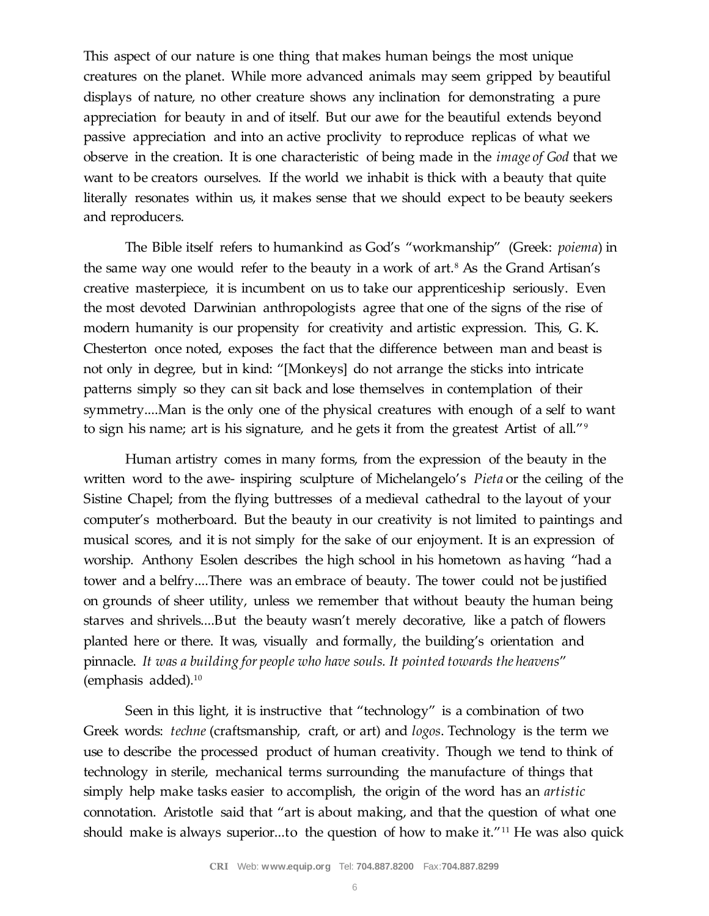This aspect of our nature is one thing that makes human beings the most unique creatures on the planet. While more advanced animals may seem gripped by beautiful displays of nature, no other creature shows any inclination for demonstrating a pure appreciation for beauty in and of itself. But our awe for the beautiful extends beyond passive appreciation and into an active proclivity to reproduce replicas of what we observe in the creation. It is one characteristic of being made in the *image of God* that we want to be creators ourselves. If the world we inhabit is thick with a beauty that quite literally resonates within us, it makes sense that we should expect to be beauty seekers and reproducers.

The Bible itself refers to humankind as God's "workmanship" (Greek: *poiema*) in the same way one would refer to the beauty in a work of art.<sup>8</sup> As the Grand Artisan's creative masterpiece, it is incumbent on us to take our apprenticeship seriously. Even the most devoted Darwinian anthropologists agree that one of the signs of the rise of modern humanity is our propensity for creativity and artistic expression. This, G. K. Chesterton once noted, exposes the fact that the difference between man and beast is not only in degree, but in kind: "[Monkeys] do not arrange the sticks into intricate patterns simply so they can sit back and lose themselves in contemplation of their symmetry....Man is the only one of the physical creatures with enough of a self to want to sign his name; art is his signature, and he gets it from the greatest Artist of all."<sup>9</sup>

Human artistry comes in many forms, from the expression of the beauty in the written word to the awe- inspiring sculpture of Michelangelo's *Pieta* or the ceiling of the Sistine Chapel; from the flying buttresses of a medieval cathedral to the layout of your computer's motherboard. But the beauty in our creativity is not limited to paintings and musical scores, and it is not simply for the sake of our enjoyment. It is an expression of worship. Anthony Esolen describes the high school in his hometown as having "had a tower and a belfry....There was an embrace of beauty. The tower could not be justified on grounds of sheer utility, unless we remember that without beauty the human being starves and shrivels....But the beauty wasn't merely decorative, like a patch of flowers planted here or there. It was, visually and formally, the building's orientation and pinnacle. *It was a building for people who have souls. It pointed towards the heavens*" (emphasis added).<sup>10</sup>

Seen in this light, it is instructive that "technology" is a combination of two Greek words: *techne* (craftsmanship, craft, or art) and *logos*. Technology is the term we use to describe the processed product of human creativity. Though we tend to think of technology in sterile, mechanical terms surrounding the manufacture of things that simply help make tasks easier to accomplish, the origin of the word has an *artistic* connotation. Aristotle said that "art is about making, and that the question of what one should make is always superior...to the question of how to make it."<sup>11</sup> He was also quick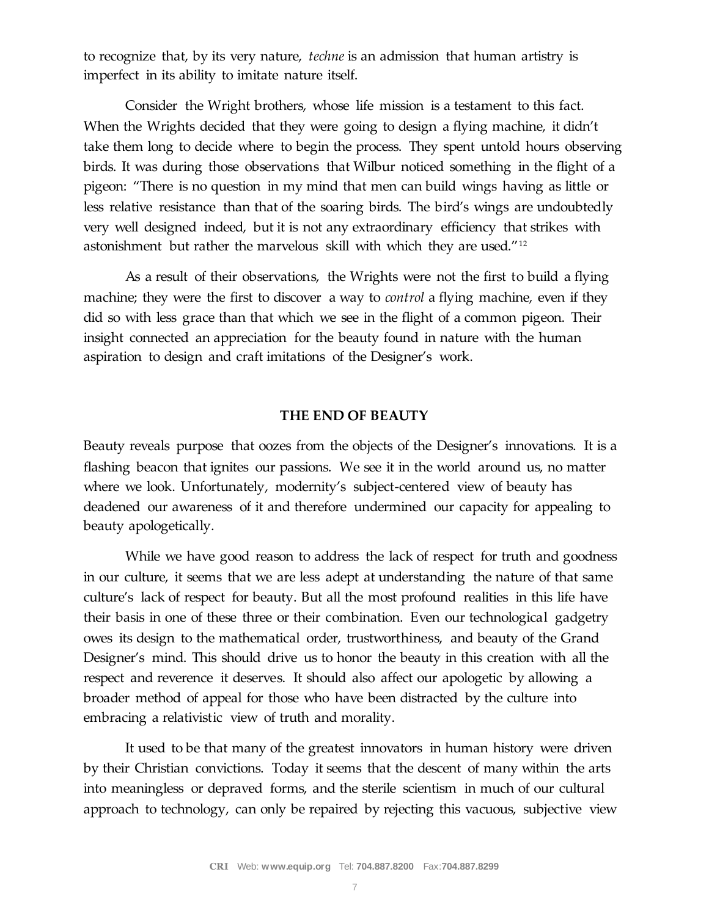to recognize that, by its very nature, *techne* is an admission that human artistry is imperfect in its ability to imitate nature itself.

Consider the Wright brothers, whose life mission is a testament to this fact. When the Wrights decided that they were going to design a flying machine, it didn't take them long to decide where to begin the process. They spent untold hours observing birds. It was during those observations that Wilbur noticed something in the flight of a pigeon: "There is no question in my mind that men can build wings having as little or less relative resistance than that of the soaring birds. The bird's wings are undoubtedly very well designed indeed, but it is not any extraordinary efficiency that strikes with astonishment but rather the marvelous skill with which they are used."<sup>12</sup>

As a result of their observations, the Wrights were not the first to build a flying machine; they were the first to discover a way to *control* a flying machine, even if they did so with less grace than that which we see in the flight of a common pigeon. Their insight connected an appreciation for the beauty found in nature with the human aspiration to design and craft imitations of the Designer's work.

#### **THE END OF BEAUTY**

Beauty reveals purpose that oozes from the objects of the Designer's innovations. It is a flashing beacon that ignites our passions. We see it in the world around us, no matter where we look. Unfortunately, modernity's subject-centered view of beauty has deadened our awareness of it and therefore undermined our capacity for appealing to beauty apologetically.

While we have good reason to address the lack of respect for truth and goodness in our culture, it seems that we are less adept at understanding the nature of that same culture's lack of respect for beauty. But all the most profound realities in this life have their basis in one of these three or their combination. Even our technological gadgetry owes its design to the mathematical order, trustworthiness, and beauty of the Grand Designer's mind. This should drive us to honor the beauty in this creation with all the respect and reverence it deserves. It should also affect our apologetic by allowing a broader method of appeal for those who have been distracted by the culture into embracing a relativistic view of truth and morality.

It used to be that many of the greatest innovators in human history were driven by their Christian convictions. Today it seems that the descent of many within the arts into meaningless or depraved forms, and the sterile scientism in much of our cultural approach to technology, can only be repaired by rejecting this vacuous, subjective view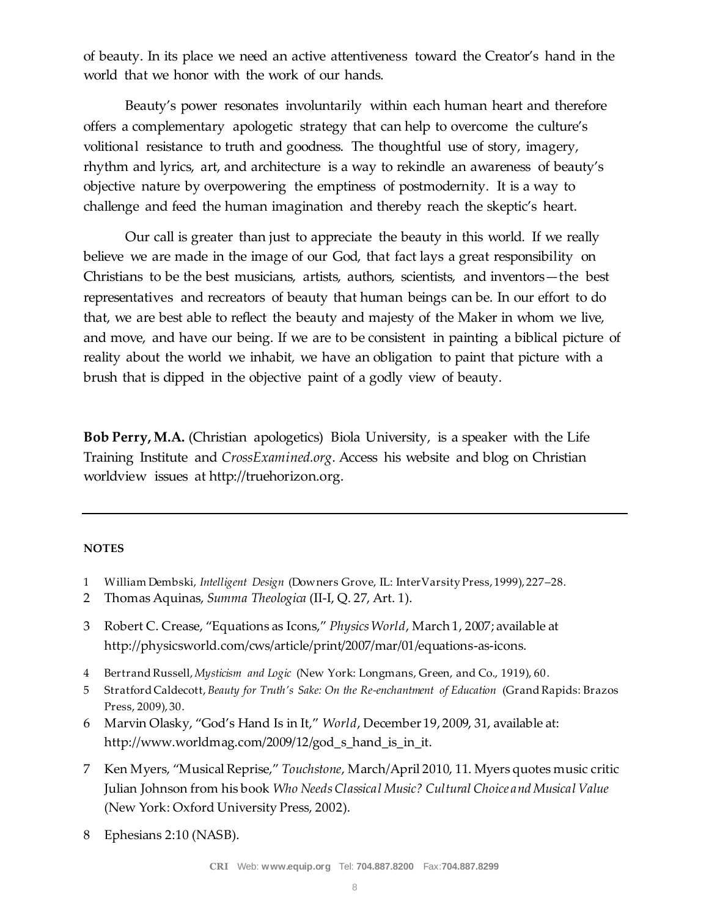of beauty. In its place we need an active attentiveness toward the Creator's hand in the world that we honor with the work of our hands.

Beauty's power resonates involuntarily within each human heart and therefore offers a complementary apologetic strategy that can help to overcome the culture's volitional resistance to truth and goodness. The thoughtful use of story, imagery, rhythm and lyrics, art, and architecture is a way to rekindle an awareness of beauty's objective nature by overpowering the emptiness of postmodernity. It is a way to challenge and feed the human imagination and thereby reach the skeptic's heart.

Our call is greater than just to appreciate the beauty in this world. If we really believe we are made in the image of our God, that fact lays a great responsibility on Christians to be the best musicians, artists, authors, scientists, and inventors—the best representatives and recreators of beauty that human beings can be. In our effort to do that, we are best able to reflect the beauty and majesty of the Maker in whom we live, and move, and have our being. If we are to be consistent in painting a biblical picture of reality about the world we inhabit, we have an obligation to paint that picture with a brush that is dipped in the objective paint of a godly view of beauty.

**Bob Perry, M.A.** (Christian apologetics) Biola University, is a speaker with the Life Training Institute and *CrossExamined.org*. Access his website and blog on Christian worldview issues at http://truehorizon.org.

#### **NOTES**

- 1 William Dembski, *Intelligent Design* (Downers Grove, IL: InterVarsity Press, 1999), 227–28.
- 2 Thomas Aquinas, *Summa Theologica* (II-I, Q. 27, Art. 1).
- 3 Robert C. Crease, "Equations as Icons," *Physics World*, March 1, 2007; available at http://physicsworld.com/cws/article/print/2007/mar/01/equations-as-icons.
- 4 Bertrand Russell, *Mysticism and Logic* (New York: Longmans, Green, and Co., 1919), 60.
- 5 Stratford Caldecott, *Beauty for Truth's Sake: On the Re-enchantment of Education* (Grand Rapids: Brazos Press, 2009), 30.
- 6 Marvin Olasky, "God's Hand Is in It," *World*, December 19, 2009, 31, available at: http://www.worldmag.com/2009/12/god\_s\_hand\_is\_in\_it.
- 7 Ken Myers, "Musical Reprise," *Touchstone*, March/April 2010, 11. Myers quotes music critic Julian Johnson from his book *Who Needs Classical Music? Cultural Choice and Musical Value*  (New York: Oxford University Press, 2002).
- 8 Ephesians 2:10 (NASB).